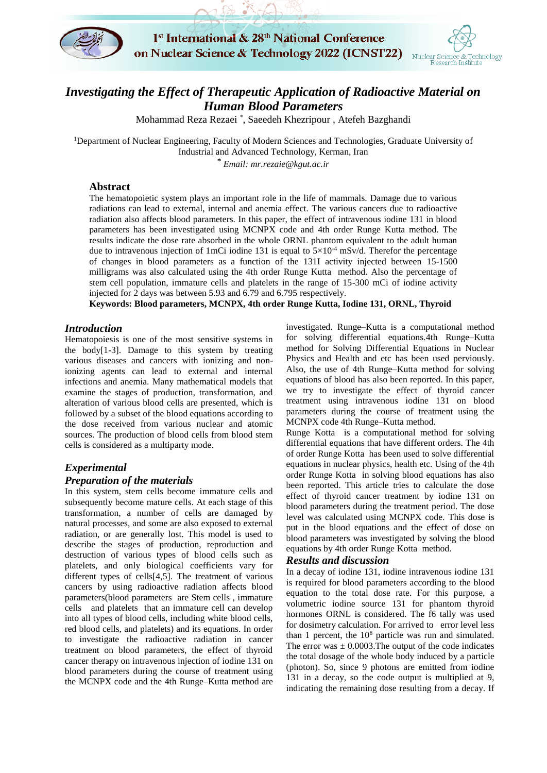



# *Investigating the Effect of Therapeutic Application of Radioactive Material on Human Blood Parameters*

Mohammad Reza Rezaei \* , Saeedeh Khezripour , Atefeh Bazghandi

<sup>1</sup>Department of Nuclear Engineering, Faculty of Modern Sciences and Technologies, Graduate University of Industrial and Advanced Technology, Kerman, Iran

**\*** *Email: mr.rezaie@kgut.ac.ir*

### **Abstract**

The hematopoietic system plays an important role in the life of mammals. Damage due to various radiations can lead to external, internal and anemia effect. The various cancers due to radioactive radiation also affects blood parameters. In this paper, the effect of intravenous iodine 131 in blood parameters has been investigated using MCNPX code and 4th order Runge Kutta method. The results indicate the dose rate absorbed in the whole ORNL phantom equivalent to the adult human due to intravenous injection of 1mCi iodine 131 is equal to  $5\times10^{-4}$  mSv/d. Therefor the percentage of changes in blood parameters as a function of the 131I activity injected between 15-1500 milligrams was also calculated using the 4th order Runge Kutta method. Also the percentage of stem cell population, immature cells and platelets in the range of 15-300 mCi of iodine activity injected for 2 days was between 5.93 and 6.79 and 6.795 respectively.

**Keywords: Blood parameters, MCNPX, 4th order Runge Kutta, Iodine 131, ORNL, Thyroid**

### *Introduction*

Hematopoiesis is one of the most sensitive systems in the body[1-3]. Damage to this system by treating various diseases and cancers with ionizing and nonionizing agents can lead to external and internal infections and anemia. Many mathematical models that examine the stages of production, transformation, and alteration of various blood cells are presented, which is followed by a subset of the blood equations according to the dose received from various nuclear and atomic sources. The production of blood cells from blood stem cells is considered as a multiparty mode.

## *Experimental Preparation of the materials*

In this system, stem cells become immature cells and subsequently become mature cells. At each stage of this transformation, a number of cells are damaged by natural processes, and some are also exposed to external radiation, or are generally lost. This model is used to describe the stages of production, reproduction and destruction of various types of blood cells such as platelets, and only biological coefficients vary for different types of cells[4,5]. The treatment of various cancers by using radioactive radiation affects blood parameters(blood parameters are Stem cells , immature cells and platelets that an immature cell can develop into all types of blood cells, including white blood cells, red blood cells, and platelets) and its equations. In order to investigate the radioactive radiation in cancer treatment on blood parameters, the effect of thyroid cancer therapy on intravenous injection of iodine 131 on blood parameters during the course of treatment using the MCNPX code and the 4th Runge–Kutta method are

investigated. Runge–Kutta is a computational method for solving differential equations.4th Runge–Kutta method for Solving Differential Equations in Nuclear Physics and Health and etc has been used perviously. Also, the use of 4th Runge–Kutta method for solving equations of blood has also been reported. In this paper, we try to investigate the effect of thyroid cancer treatment using intravenous iodine 131 on blood parameters during the course of treatment using the MCNPX code 4th Runge–Kutta method.

Runge Kotta is a computational method for solving differential equations that have different orders. The 4th of order Runge Kotta has been used to solve differential equations in nuclear physics, health etc. Using of the 4th order Runge Kotta in solving blood equations has also been reported. This article tries to calculate the dose effect of thyroid cancer treatment by iodine 131 on blood parameters during the treatment period. The dose level was calculated using MCNPX code. This dose is put in the blood equations and the effect of dose on blood parameters was investigated by solving the blood equations by 4th order Runge Kotta method.

### *Results and discussion*

In a decay of iodine 131, iodine intravenous iodine 131 is required for blood parameters according to the blood equation to the total dose rate. For this purpose, a volumetric iodine source 131 for phantom thyroid hormones ORNL is considered. The f6 tally was used for dosimetry calculation. For arrived to error level less than 1 percent, the  $10<sup>8</sup>$  particle was run and simulated. The error was  $\pm$  0.0003. The output of the code indicates the total dosage of the whole body induced by a particle (photon). So, since 9 photons are emitted from iodine 131 in a decay, so the code output is multiplied at 9, indicating the remaining dose resulting from a decay. If